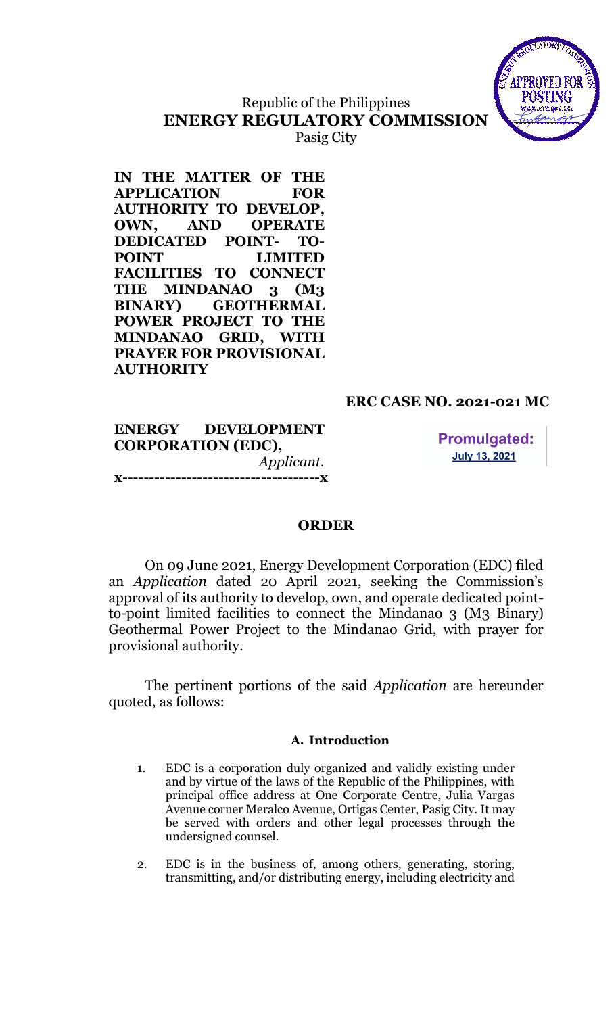

# Republic of the Philippines ENERGY REGULATORY COMMISSION

Pasig City

IN THE MATTER OF THE APPLICATION FOR AUTHORITY TO DEVELOP, OWN, AND OPERATE DEDICATED POINT- TO-POINT LIMITED FACILITIES TO CONNECT THE MINDANAO 3 (M3) BINARY) GEOTHERMAL POWER PROJECT TO THE MINDANAO GRID, WITH PRAYER FOR PROVISIONAL **AUTHORITY** 

# ERC CASE NO. 2021-021 MC

|                           | ENERGY DEVELOPMENT |  |  |
|---------------------------|--------------------|--|--|
| <b>CORPORATION (EDC),</b> |                    |  |  |
|                           | Applicant.         |  |  |
|                           |                    |  |  |

**Promulgated: July 13, 2021** 

# ORDER

On 09 June 2021, Energy Development Corporation (EDC) filed an Application dated 20 April 2021, seeking the Commission's approval of its authority to develop, own, and operate dedicated pointto-point limited facilities to connect the Mindanao 3 (M3 Binary) Geothermal Power Project to the Mindanao Grid, with prayer for provisional authority.

The pertinent portions of the said Application are hereunder quoted, as follows:

#### A. Introduction

- 1. EDC is a corporation duly organized and validly existing under and by virtue of the laws of the Republic of the Philippines, with principal office address at One Corporate Centre, Julia Vargas Avenue corner Meralco Avenue, Ortigas Center, Pasig City. It may be served with orders and other legal processes through the undersigned counsel.
- 2. EDC is in the business of, among others, generating, storing, transmitting, and/or distributing energy, including electricity and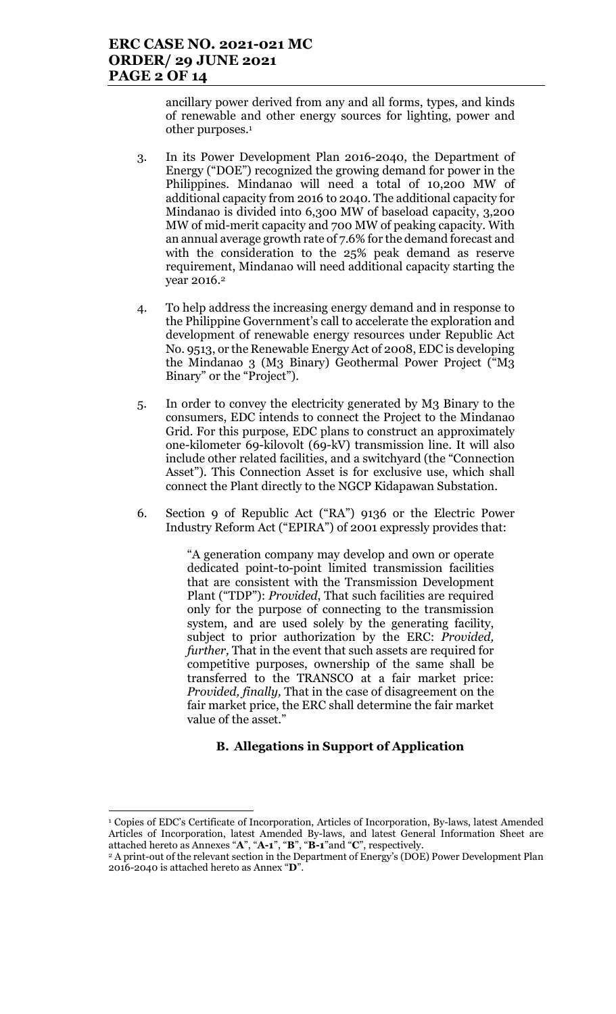### ERC CASE NO. 2021-021 MC ORDER/ 29 JUNE 2021 PAGE 2 OF 14

ancillary power derived from any and all forms, types, and kinds of renewable and other energy sources for lighting, power and other purposes.<sup>1</sup>

- 3. In its Power Development Plan 2016-2040, the Department of Energy ("DOE") recognized the growing demand for power in the Philippines. Mindanao will need a total of 10,200 MW of additional capacity from 2016 to 2040. The additional capacity for Mindanao is divided into 6,300 MW of baseload capacity, 3,200 MW of mid-merit capacity and 700 MW of peaking capacity. With an annual average growth rate of 7.6% for the demand forecast and with the consideration to the 25% peak demand as reserve requirement, Mindanao will need additional capacity starting the year 2016.<sup>2</sup>
- 4. To help address the increasing energy demand and in response to the Philippine Government's call to accelerate the exploration and development of renewable energy resources under Republic Act No. 9513, or the Renewable Energy Act of 2008, EDC is developing the Mindanao 3 (M3 Binary) Geothermal Power Project ("M3 Binary" or the "Project").
- 5. In order to convey the electricity generated by M3 Binary to the consumers, EDC intends to connect the Project to the Mindanao Grid. For this purpose, EDC plans to construct an approximately one-kilometer 69-kilovolt (69-kV) transmission line. It will also include other related facilities, and a switchyard (the "Connection Asset"). This Connection Asset is for exclusive use, which shall connect the Plant directly to the NGCP Kidapawan Substation.
- 6. Section 9 of Republic Act ("RA") 9136 or the Electric Power Industry Reform Act ("EPIRA") of 2001 expressly provides that:

"A generation company may develop and own or operate dedicated point-to-point limited transmission facilities that are consistent with the Transmission Development Plant ("TDP"): Provided, That such facilities are required only for the purpose of connecting to the transmission system, and are used solely by the generating facility, subject to prior authorization by the ERC: Provided, further, That in the event that such assets are required for competitive purposes, ownership of the same shall be transferred to the TRANSCO at a fair market price: Provided, finally, That in the case of disagreement on the fair market price, the ERC shall determine the fair market value of the asset."

### B. Allegations in Support of Application

<sup>1</sup> Copies of EDC's Certificate of Incorporation, Articles of Incorporation, By-laws, latest Amended Articles of Incorporation, latest Amended By-laws, and latest General Information Sheet are attached hereto as Annexes "A", "A-1", "B", "B-1"and "C", respectively.

<sup>&</sup>lt;sup>2</sup> A print-out of the relevant section in the Department of Energy's (DOE) Power Development Plan 2016-2040 is attached hereto as Annex "D".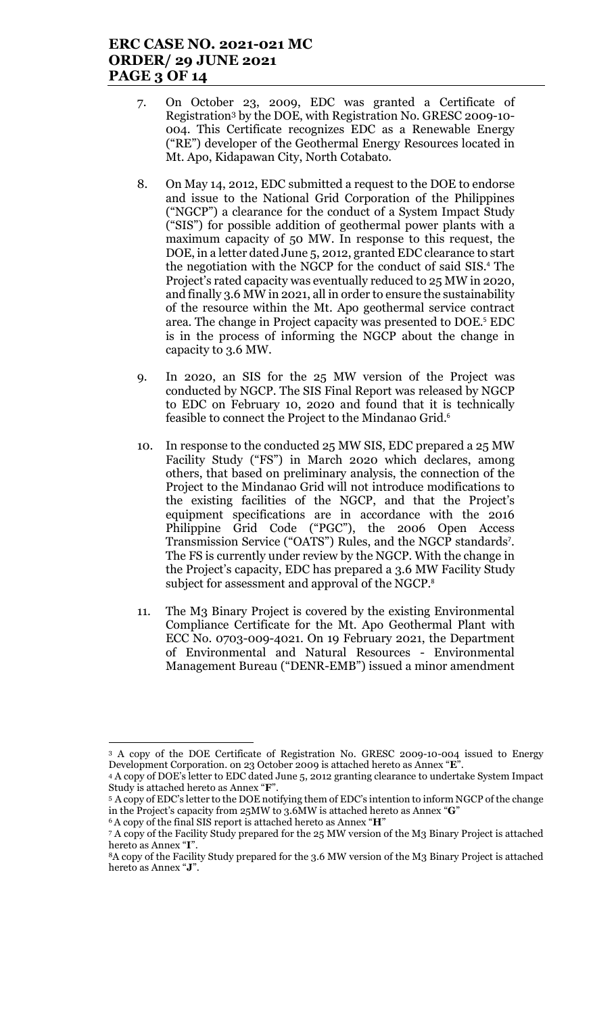# ERC CASE NO. 2021-021 MC ORDER/ 29 JUNE 2021 PAGE 3 OF 14

- 7. On October 23, 2009, EDC was granted a Certificate of Registration3 by the DOE, with Registration No. GRESC 2009-10- 004. This Certificate recognizes EDC as a Renewable Energy ("RE") developer of the Geothermal Energy Resources located in Mt. Apo, Kidapawan City, North Cotabato.
- 8. On May 14, 2012, EDC submitted a request to the DOE to endorse and issue to the National Grid Corporation of the Philippines ("NGCP") a clearance for the conduct of a System Impact Study ("SIS") for possible addition of geothermal power plants with a maximum capacity of 50 MW. In response to this request, the DOE, in a letter dated June 5, 2012, granted EDC clearance to start the negotiation with the NGCP for the conduct of said SIS.<sup>4</sup> The Project's rated capacity was eventually reduced to 25 MW in 2020, and finally 3.6 MW in 2021, all in order to ensure the sustainability of the resource within the Mt. Apo geothermal service contract area. The change in Project capacity was presented to DOE.<sup>5</sup> EDC is in the process of informing the NGCP about the change in capacity to 3.6 MW.
- 9. In 2020, an SIS for the 25 MW version of the Project was conducted by NGCP. The SIS Final Report was released by NGCP to EDC on February 10, 2020 and found that it is technically feasible to connect the Project to the Mindanao Grid.<sup>6</sup>
- 10. In response to the conducted 25 MW SIS, EDC prepared a 25 MW Facility Study ("FS") in March 2020 which declares, among others, that based on preliminary analysis, the connection of the Project to the Mindanao Grid will not introduce modifications to the existing facilities of the NGCP, and that the Project's equipment specifications are in accordance with the 2016 Philippine Grid Code ("PGC"), the 2006 Open Access Transmission Service ("OATS") Rules, and the NGCP standards<sup>7</sup>. The FS is currently under review by the NGCP. With the change in the Project's capacity, EDC has prepared a 3.6 MW Facility Study subject for assessment and approval of the NGCP.<sup>8</sup>
- 11. The M3 Binary Project is covered by the existing Environmental Compliance Certificate for the Mt. Apo Geothermal Plant with ECC No. 0703-009-4021. On 19 February 2021, the Department of Environmental and Natural Resources - Environmental Management Bureau ("DENR-EMB") issued a minor amendment

 $\overline{a}$ 

<sup>3</sup> A copy of the DOE Certificate of Registration No. GRESC 2009-10-004 issued to Energy Development Corporation. on 23 October 2009 is attached hereto as Annex "E".

<sup>4</sup> A copy of DOE's letter to EDC dated June 5, 2012 granting clearance to undertake System Impact Study is attached hereto as Annex "F". <sup>5</sup>A copy of EDC's letter to the DOE notifying them of EDC's intention to inform NGCP of the change

in the Project's capacity from 25MW to 3.6MW is attached hereto as Annex "G" <sup>6</sup> A copy of the final SIS report is attached hereto as Annex "H"

<sup>7</sup> A copy of the Facility Study prepared for the 25 MW version of the M3 Binary Project is attached hereto as Annex "I".

<sup>8</sup>A copy of the Facility Study prepared for the 3.6 MW version of the M3 Binary Project is attached hereto as Annex "J".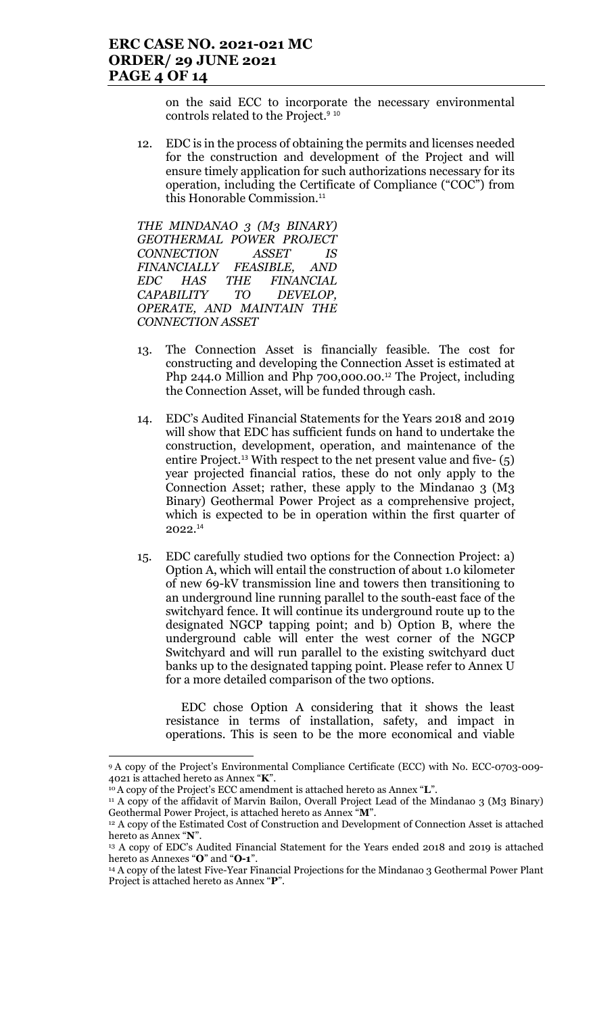on the said ECC to incorporate the necessary environmental controls related to the Project.<sup>9 10</sup>

12. EDC is in the process of obtaining the permits and licenses needed for the construction and development of the Project and will ensure timely application for such authorizations necessary for its operation, including the Certificate of Compliance ("COC") from this Honorable Commission.<sup>11</sup>

THE MINDANAO 3 (M3 BINARY) GEOTHERMAL POWER PROJECT CONNECTION ASSET IS FINANCIALLY FEASIBLE, AND EDC HAS THE FINANCIAL CAPABILITY TO DEVELOP, OPERATE, AND MAINTAIN THE CONNECTION ASSET

- 13. The Connection Asset is financially feasible. The cost for constructing and developing the Connection Asset is estimated at Php 244.0 Million and Php 700,000.00.<sup>12</sup> The Project, including the Connection Asset, will be funded through cash.
- 14. EDC's Audited Financial Statements for the Years 2018 and 2019 will show that EDC has sufficient funds on hand to undertake the construction, development, operation, and maintenance of the entire Project.<sup>13</sup> With respect to the net present value and five- (5) year projected financial ratios, these do not only apply to the Connection Asset; rather, these apply to the Mindanao 3 (M3 Binary) Geothermal Power Project as a comprehensive project, which is expected to be in operation within the first quarter of 2022.<sup>14</sup>
- 15. EDC carefully studied two options for the Connection Project: a) Option A, which will entail the construction of about 1.0 kilometer of new 69-kV transmission line and towers then transitioning to an underground line running parallel to the south-east face of the switchyard fence. It will continue its underground route up to the designated NGCP tapping point; and b) Option B, where the underground cable will enter the west corner of the NGCP Switchyard and will run parallel to the existing switchyard duct banks up to the designated tapping point. Please refer to Annex U for a more detailed comparison of the two options.

EDC chose Option A considering that it shows the least resistance in terms of installation, safety, and impact in operations. This is seen to be the more economical and viable

 $\overline{a}$ 

<sup>9</sup>A copy of the Project's Environmental Compliance Certificate (ECC) with No. ECC-0703-009- 4021 is attached hereto as Annex "K".

<sup>&</sup>lt;sup>10</sup> A copy of the Project's ECC amendment is attached hereto as Annex "L".

<sup>11</sup> A copy of the affidavit of Marvin Bailon, Overall Project Lead of the Mindanao 3 (M3 Binary) Geothermal Power Project, is attached hereto as Annex "M".

<sup>12</sup> A copy of the Estimated Cost of Construction and Development of Connection Asset is attached hereto as Annex "N".

<sup>&</sup>lt;sup>13</sup> A copy of EDC's Audited Financial Statement for the Years ended 2018 and 2019 is attached hereto as Annexes "O" and "O-1".

<sup>&</sup>lt;sup>14</sup> A copy of the latest Five-Year Financial Projections for the Mindanao 3 Geothermal Power Plant Project is attached hereto as Annex "P".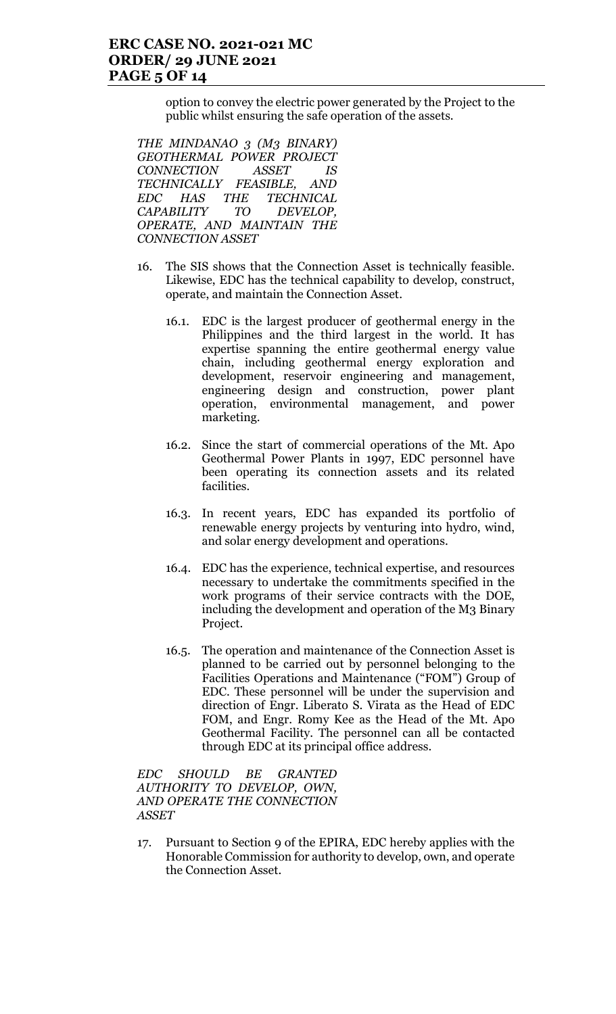option to convey the electric power generated by the Project to the public whilst ensuring the safe operation of the assets.

THE MINDANAO 3 (M3 BINARY) GEOTHERMAL POWER PROJECT CONNECTION ASSET IS TECHNICALLY FEASIBLE, AND EDC HAS THE TECHNICAL CAPABILITY TO DEVELOP, OPERATE, AND MAINTAIN THE CONNECTION ASSET

- 16. The SIS shows that the Connection Asset is technically feasible. Likewise, EDC has the technical capability to develop, construct, operate, and maintain the Connection Asset.
	- 16.1. EDC is the largest producer of geothermal energy in the Philippines and the third largest in the world. It has expertise spanning the entire geothermal energy value chain, including geothermal energy exploration and development, reservoir engineering and management, engineering design and construction, power plant operation, environmental management, and power marketing.
	- 16.2. Since the start of commercial operations of the Mt. Apo Geothermal Power Plants in 1997, EDC personnel have been operating its connection assets and its related facilities.
	- 16.3. In recent years, EDC has expanded its portfolio of renewable energy projects by venturing into hydro, wind, and solar energy development and operations.
	- 16.4. EDC has the experience, technical expertise, and resources necessary to undertake the commitments specified in the work programs of their service contracts with the DOE, including the development and operation of the M3 Binary Project.
	- 16.5. The operation and maintenance of the Connection Asset is planned to be carried out by personnel belonging to the Facilities Operations and Maintenance ("FOM") Group of EDC. These personnel will be under the supervision and direction of Engr. Liberato S. Virata as the Head of EDC FOM, and Engr. Romy Kee as the Head of the Mt. Apo Geothermal Facility. The personnel can all be contacted through EDC at its principal office address.

EDC SHOULD BE GRANTED AUTHORITY TO DEVELOP, OWN, AND OPERATE THE CONNECTION ASSET

17. Pursuant to Section 9 of the EPIRA, EDC hereby applies with the Honorable Commission for authority to develop, own, and operate the Connection Asset.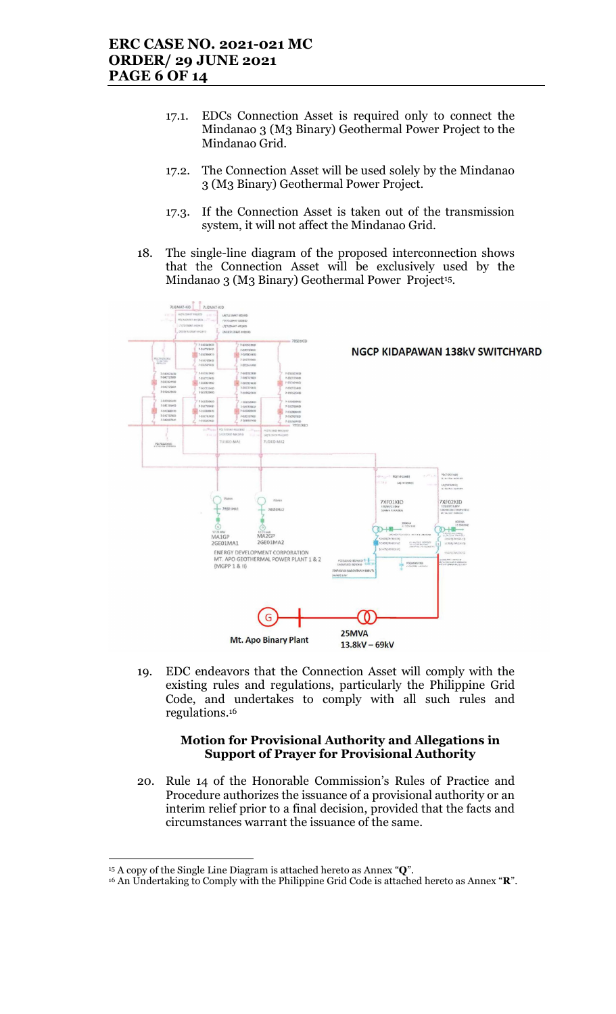- 17.1. EDCs Connection Asset is required only to connect the Mindanao 3 (M3 Binary) Geothermal Power Project to the Mindanao Grid.
- 17.2. The Connection Asset will be used solely by the Mindanao 3 (M3 Binary) Geothermal Power Project.
- 17.3. If the Connection Asset is taken out of the transmission system, it will not affect the Mindanao Grid.
- 18. The single-line diagram of the proposed interconnection shows that the Connection Asset will be exclusively used by the Mindanao 3 (M3 Binary) Geothermal Power Project<sup>15</sup>.



19. EDC endeavors that the Connection Asset will comply with the existing rules and regulations, particularly the Philippine Grid Code, and undertakes to comply with all such rules and regulations.<sup>16</sup>

#### Motion for Provisional Authority and Allegations in Support of Prayer for Provisional Authority

20. Rule 14 of the Honorable Commission's Rules of Practice and Procedure authorizes the issuance of a provisional authority or an interim relief prior to a final decision, provided that the facts and circumstances warrant the issuance of the same.

 $15$  A copy of the Single Line Diagram is attached hereto as Annex " $Q$ ".

<sup>&</sup>lt;sup>16</sup> An Undertaking to Comply with the Philippine Grid Code is attached hereto as Annex "R".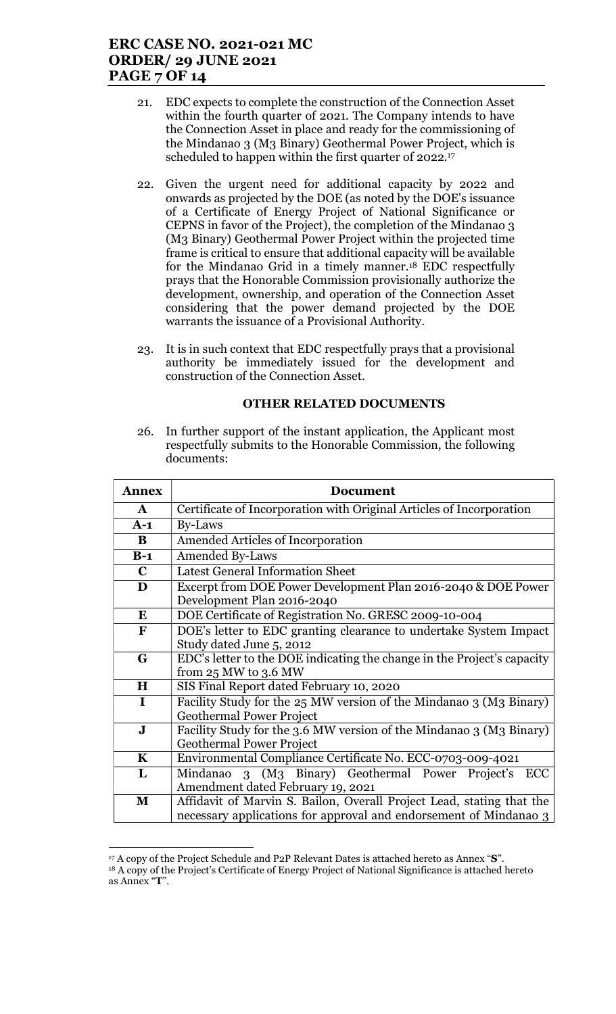### ERC CASE NO. 2021-021 MC ORDER/ 29 JUNE 2021 PAGE 7 OF 14

- 21. EDC expects to complete the construction of the Connection Asset within the fourth quarter of 2021. The Company intends to have the Connection Asset in place and ready for the commissioning of the Mindanao 3 (M3 Binary) Geothermal Power Project, which is scheduled to happen within the first quarter of 2022.<sup>17</sup>
- 22. Given the urgent need for additional capacity by 2022 and onwards as projected by the DOE (as noted by the DOE's issuance of a Certificate of Energy Project of National Significance or CEPNS in favor of the Project), the completion of the Mindanao 3 (M3 Binary) Geothermal Power Project within the projected time frame is critical to ensure that additional capacity will be available for the Mindanao Grid in a timely manner.18 EDC respectfully prays that the Honorable Commission provisionally authorize the development, ownership, and operation of the Connection Asset considering that the power demand projected by the DOE warrants the issuance of a Provisional Authority.
- 23. It is in such context that EDC respectfully prays that a provisional authority be immediately issued for the development and construction of the Connection Asset.

#### OTHER RELATED DOCUMENTS

26. In further support of the instant application, the Applicant most respectfully submits to the Honorable Commission, the following documents:

| <b>Annex</b> | Document                                                                                                                                   |  |  |
|--------------|--------------------------------------------------------------------------------------------------------------------------------------------|--|--|
| $\mathbf{A}$ | Certificate of Incorporation with Original Articles of Incorporation                                                                       |  |  |
| $A-1$        | By-Laws                                                                                                                                    |  |  |
| B            | Amended Articles of Incorporation                                                                                                          |  |  |
| $B-1$        | <b>Amended By-Laws</b>                                                                                                                     |  |  |
| $\mathbf C$  | <b>Latest General Information Sheet</b>                                                                                                    |  |  |
| D            | Excerpt from DOE Power Development Plan 2016-2040 & DOE Power<br>Development Plan 2016-2040                                                |  |  |
| E            | DOE Certificate of Registration No. GRESC 2009-10-004                                                                                      |  |  |
| F            | DOE's letter to EDC granting clearance to undertake System Impact<br>Study dated June 5, 2012                                              |  |  |
| G            | EDC's letter to the DOE indicating the change in the Project's capacity<br>from $25 \text{ MW}$ to $3.6 \text{ MW}$                        |  |  |
| H            | SIS Final Report dated February 10, 2020                                                                                                   |  |  |
| $\mathbf I$  | Facility Study for the 25 MW version of the Mindanao 3 (M3 Binary)<br><b>Geothermal Power Project</b>                                      |  |  |
| $\bf J$      | Facility Study for the 3.6 MW version of the Mindanao 3 (M3 Binary)<br><b>Geothermal Power Project</b>                                     |  |  |
| $\mathbf K$  | Environmental Compliance Certificate No. ECC-0703-009-4021                                                                                 |  |  |
| L            | 3 (M <sub>3</sub> Binary) Geothermal Power Project's<br>Mindanao<br>ECC<br>Amendment dated February 19, 2021                               |  |  |
| M            | Affidavit of Marvin S. Bailon, Overall Project Lead, stating that the<br>necessary applications for approval and endorsement of Mindanao 3 |  |  |

<sup>17</sup> A copy of the Project Schedule and P2P Relevant Dates is attached hereto as Annex "S". <sup>18</sup> A copy of the Project's Certificate of Energy Project of National Significance is attached hereto

 $\overline{a}$ 

as Annex "T".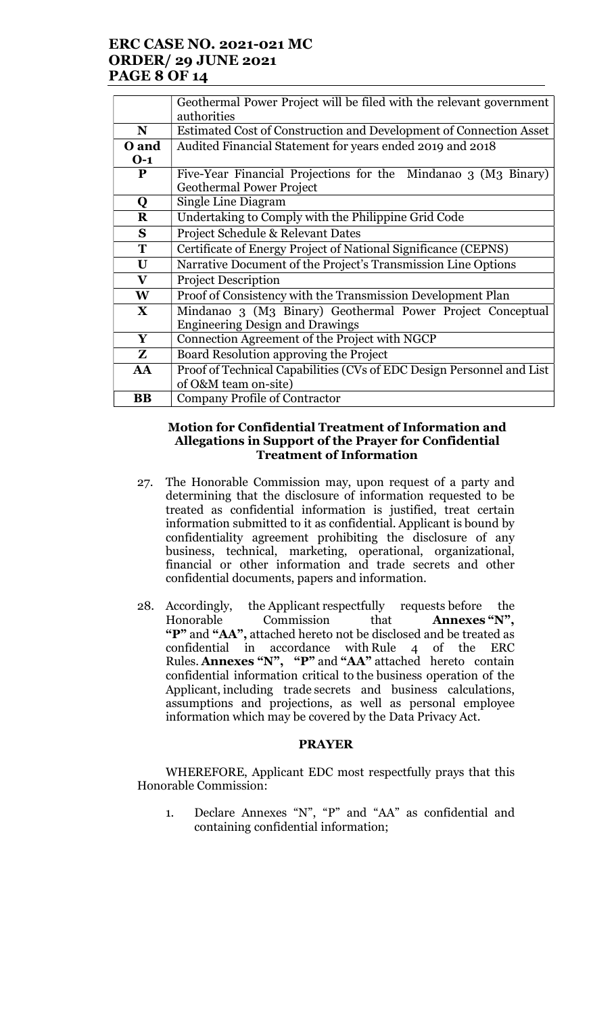# ERC CASE NO. 2021-021 MC ORDER/ 29 JUNE 2021 PAGE 8 OF 14

|              | Geothermal Power Project will be filed with the relevant government<br>authorities |  |
|--------------|------------------------------------------------------------------------------------|--|
| N            | Estimated Cost of Construction and Development of Connection Asset                 |  |
| O and        | Audited Financial Statement for years ended 2019 and 2018                          |  |
| $O-1$        |                                                                                    |  |
| P            | Five-Year Financial Projections for the Mindanao 3 (M3 Binary)                     |  |
|              | <b>Geothermal Power Project</b>                                                    |  |
| Q            | Single Line Diagram                                                                |  |
| $\bf R$      | Undertaking to Comply with the Philippine Grid Code                                |  |
| S            | Project Schedule & Relevant Dates                                                  |  |
| T            | Certificate of Energy Project of National Significance (CEPNS)                     |  |
| $\mathbf U$  | Narrative Document of the Project's Transmission Line Options                      |  |
| $\mathbf{V}$ | <b>Project Description</b>                                                         |  |
| W            | Proof of Consistency with the Transmission Development Plan                        |  |
| $\mathbf{X}$ | Mindanao 3 (M3 Binary) Geothermal Power Project Conceptual                         |  |
|              | <b>Engineering Design and Drawings</b>                                             |  |
| Y            | Connection Agreement of the Project with NGCP                                      |  |
| Z            | Board Resolution approving the Project                                             |  |
| AA           | Proof of Technical Capabilities (CVs of EDC Design Personnel and List              |  |
|              | of O&M team on-site)                                                               |  |
| <b>BB</b>    | <b>Company Profile of Contractor</b>                                               |  |

#### Motion for Confidential Treatment of Information and Allegations in Support of the Prayer for Confidential Treatment of Information

- 27. The Honorable Commission may, upon request of a party and determining that the disclosure of information requested to be treated as confidential information is justified, treat certain information submitted to it as confidential. Applicant is bound by confidentiality agreement prohibiting the disclosure of any business, technical, marketing, operational, organizational, financial or other information and trade secrets and other confidential documents, papers and information.
- 28. Accordingly, the Applicant respectfully requests before the Honorable Commission that **Annexes "N"**. Honorable Commission that Annexes "N", "P" and "AA", attached hereto not be disclosed and be treated as confidential in accordance with Rule 4 of the ERC Rules. Annexes "N", "P" and "AA" attached hereto contain confidential information critical to the business operation of the Applicant, including trade secrets and business calculations, assumptions and projections, as well as personal employee information which may be covered by the Data Privacy Act.

#### PRAYER

WHEREFORE, Applicant EDC most respectfully prays that this Honorable Commission:

1. Declare Annexes "N", "P" and "AA" as confidential and containing confidential information;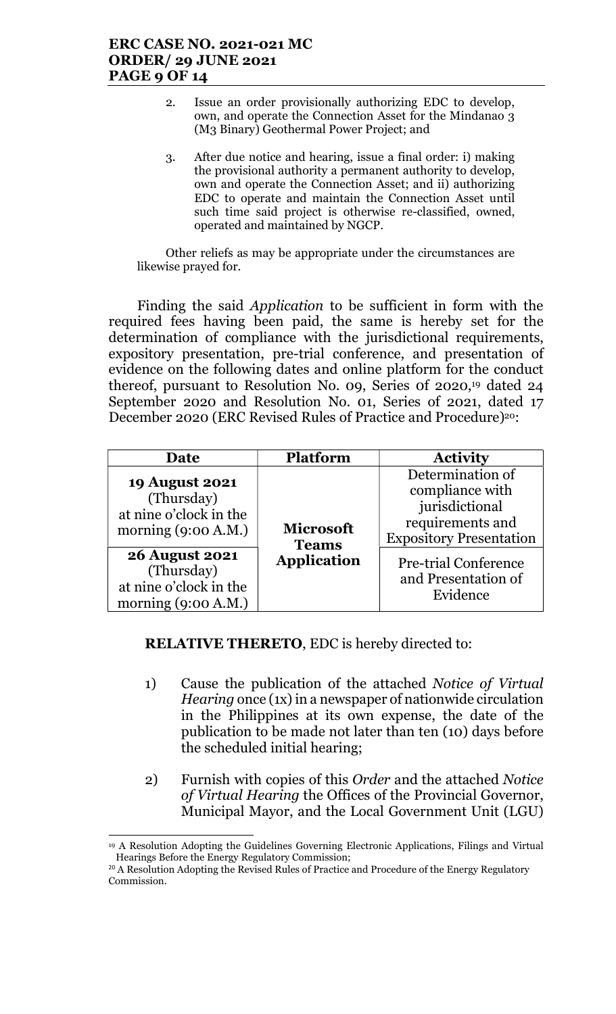### ERC CASE NO. 2021-021 MC ORDER/ 29 JUNE 2021 PAGE 9 OF 14

- 2. Issue an order provisionally authorizing EDC to develop, own, and operate the Connection Asset for the Mindanao 3 (M3 Binary) Geothermal Power Project; and
- 3. After due notice and hearing, issue a final order: i) making the provisional authority a permanent authority to develop, own and operate the Connection Asset; and ii) authorizing EDC to operate and maintain the Connection Asset until such time said project is otherwise re-classified, owned, operated and maintained by NGCP.

Other reliefs as may be appropriate under the circumstances are likewise prayed for.

Finding the said Application to be sufficient in form with the required fees having been paid, the same is hereby set for the determination of compliance with the jurisdictional requirements, expository presentation, pre-trial conference, and presentation of evidence on the following dates and online platform for the conduct thereof, pursuant to Resolution No. 09, Series 0f 2020,19 dated 24 September 2020 and Resolution No. 01, Series of 2021, dated 17 December 2020 (ERC Revised Rules of Practice and Procedure)<sup>20</sup>:

| Date                                                                                                                                                                             | <b>Platform</b>                                        | <b>Activity</b>                                                                                                                                                               |
|----------------------------------------------------------------------------------------------------------------------------------------------------------------------------------|--------------------------------------------------------|-------------------------------------------------------------------------------------------------------------------------------------------------------------------------------|
| <b>19 August 2021</b><br>(Thursday)<br>at nine o'clock in the<br>morning $(9:00 A.M.)$<br><b>26 August 2021</b><br>(Thursday)<br>at nine o'clock in the<br>morning $(9:00 A.M.)$ | <b>Microsoft</b><br><b>Teams</b><br><b>Application</b> | Determination of<br>compliance with<br>jurisdictional<br>requirements and<br><b>Expository Presentation</b><br><b>Pre-trial Conference</b><br>and Presentation of<br>Evidence |

# RELATIVE THERETO, EDC is hereby directed to:

- 1) Cause the publication of the attached Notice of Virtual Hearing once (1x) in a newspaper of nationwide circulation in the Philippines at its own expense, the date of the publication to be made not later than ten (10) days before the scheduled initial hearing;
- 2) Furnish with copies of this Order and the attached Notice of Virtual Hearing the Offices of the Provincial Governor, Municipal Mayor, and the Local Government Unit (LGU)

<sup>19</sup> A Resolution Adopting the Guidelines Governing Electronic Applications, Filings and Virtual Hearings Before the Energy Regulatory Commission;

<sup>&</sup>lt;sup>20</sup> A Resolution Adopting the Revised Rules of Practice and Procedure of the Energy Regulatory Commission.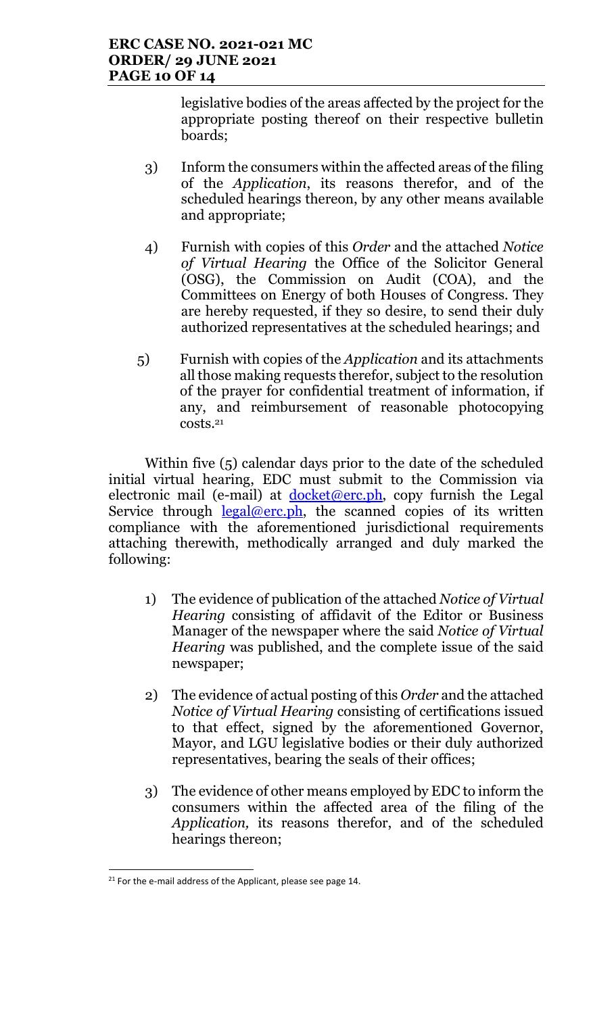legislative bodies of the areas affected by the project for the appropriate posting thereof on their respective bulletin boards;

- 3) Inform the consumers within the affected areas of the filing of the Application, its reasons therefor, and of the scheduled hearings thereon, by any other means available and appropriate;
- 4) Furnish with copies of this Order and the attached Notice of Virtual Hearing the Office of the Solicitor General (OSG), the Commission on Audit (COA), and the Committees on Energy of both Houses of Congress. They are hereby requested, if they so desire, to send their duly authorized representatives at the scheduled hearings; and
- 5) Furnish with copies of the Application and its attachments all those making requests therefor, subject to the resolution of the prayer for confidential treatment of information, if any, and reimbursement of reasonable photocopying costs.<sup>21</sup>

Within five (5) calendar days prior to the date of the scheduled initial virtual hearing, EDC must submit to the Commission via electronic mail (e-mail) at  $d$ ocket@erc.ph, copy furnish the Legal Service through  $\frac{\text{legal@erc.ph}}{\text{legal@erc.ph}}$ , the scanned copies of its written compliance with the aforementioned jurisdictional requirements attaching therewith, methodically arranged and duly marked the following:

- 1) The evidence of publication of the attached Notice of Virtual Hearing consisting of affidavit of the Editor or Business Manager of the newspaper where the said Notice of Virtual Hearing was published, and the complete issue of the said newspaper;
- 2) The evidence of actual posting of this Order and the attached Notice of Virtual Hearing consisting of certifications issued to that effect, signed by the aforementioned Governor, Mayor, and LGU legislative bodies or their duly authorized representatives, bearing the seals of their offices;
- 3) The evidence of other means employed by EDC to inform the consumers within the affected area of the filing of the Application, its reasons therefor, and of the scheduled hearings thereon;

 $21$  For the e-mail address of the Applicant, please see page 14.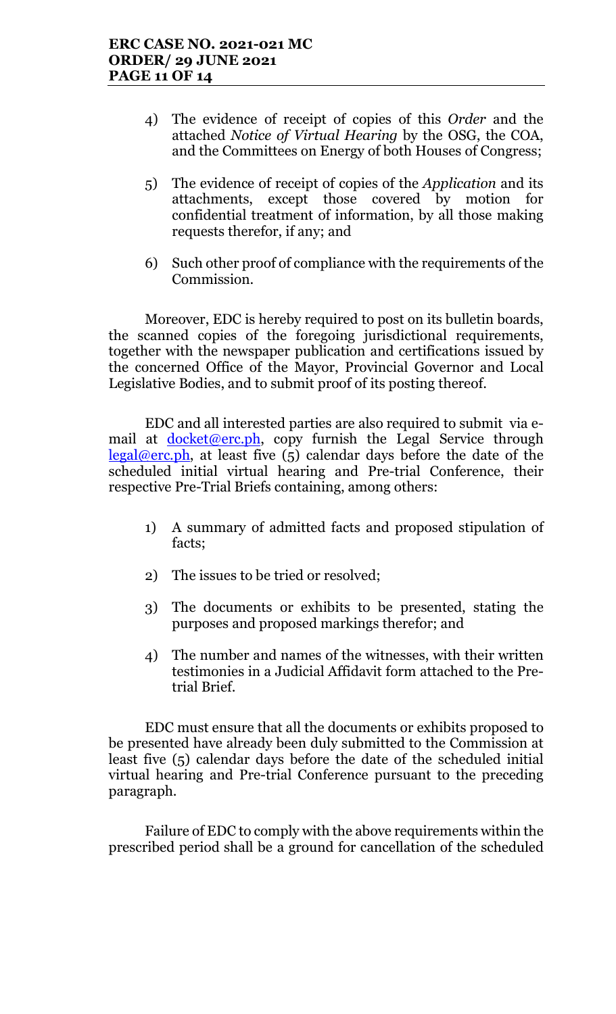- 4) The evidence of receipt of copies of this Order and the attached Notice of Virtual Hearing by the OSG, the COA, and the Committees on Energy of both Houses of Congress;
- 5) The evidence of receipt of copies of the Application and its attachments, except those covered by motion for confidential treatment of information, by all those making requests therefor, if any; and
- 6) Such other proof of compliance with the requirements of the Commission.

 Moreover, EDC is hereby required to post on its bulletin boards, the scanned copies of the foregoing jurisdictional requirements, together with the newspaper publication and certifications issued by the concerned Office of the Mayor, Provincial Governor and Local Legislative Bodies, and to submit proof of its posting thereof.

EDC and all interested parties are also required to submit via email at **docket@erc.ph**, copy furnish the Legal Service through  $\text{legal@erc.ph.}$  at least five (5) calendar days before the date of the scheduled initial virtual hearing and Pre-trial Conference, their respective Pre-Trial Briefs containing, among others:

- 1) A summary of admitted facts and proposed stipulation of facts;
- 2) The issues to be tried or resolved;
- 3) The documents or exhibits to be presented, stating the purposes and proposed markings therefor; and
- 4) The number and names of the witnesses, with their written testimonies in a Judicial Affidavit form attached to the Pretrial Brief.

EDC must ensure that all the documents or exhibits proposed to be presented have already been duly submitted to the Commission at least five (5) calendar days before the date of the scheduled initial virtual hearing and Pre-trial Conference pursuant to the preceding paragraph.

Failure of EDC to comply with the above requirements within the prescribed period shall be a ground for cancellation of the scheduled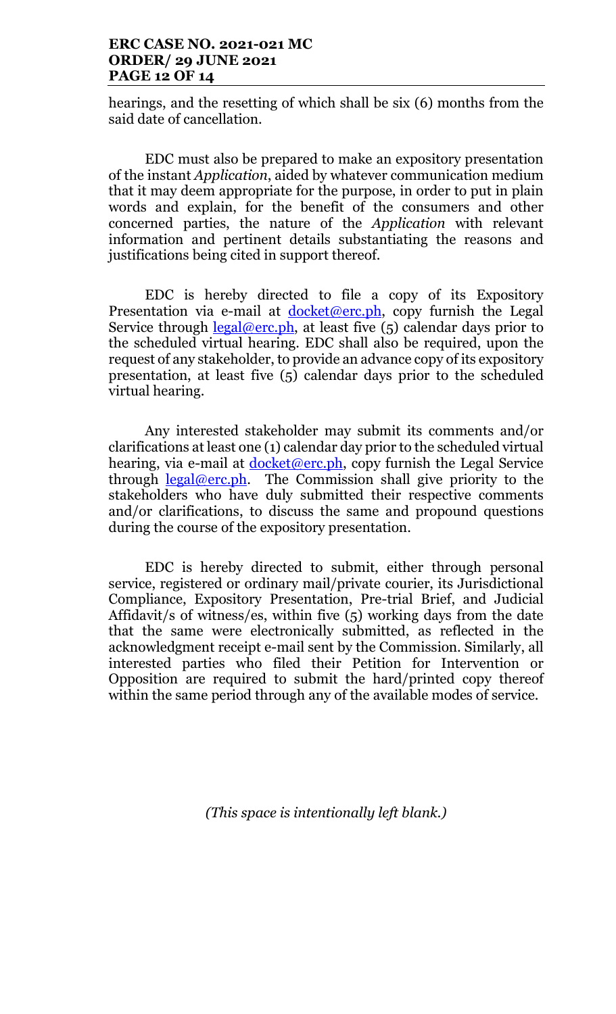### ERC CASE NO. 2021-021 MC ORDER/ 29 JUNE 2021 PAGE 12 OF 14

hearings, and the resetting of which shall be six (6) months from the said date of cancellation.

EDC must also be prepared to make an expository presentation of the instant Application, aided by whatever communication medium that it may deem appropriate for the purpose, in order to put in plain words and explain, for the benefit of the consumers and other concerned parties, the nature of the Application with relevant information and pertinent details substantiating the reasons and justifications being cited in support thereof.

EDC is hereby directed to file a copy of its Expository Presentation via e-mail at <u>docket@erc.ph</u>, copy furnish the Legal Service through  $\frac{\text{legal@erc.ph}}{\text{length}}$ , at least five (5) calendar days prior to the scheduled virtual hearing. EDC shall also be required, upon the request of any stakeholder, to provide an advance copy of its expository presentation, at least five (5) calendar days prior to the scheduled virtual hearing.

Any interested stakeholder may submit its comments and/or clarifications at least one (1) calendar day prior to the scheduled virtual hearing, via e-mail at  $\frac{\text{doc}}{\text{ket@erc.ph}}$ , copy furnish the Legal Service through  $\frac{\text{legal@erc.ph.}}{\text{The Commission shall give priority to the}}$ stakeholders who have duly submitted their respective comments and/or clarifications, to discuss the same and propound questions during the course of the expository presentation.

EDC is hereby directed to submit, either through personal service, registered or ordinary mail/private courier, its Jurisdictional Compliance, Expository Presentation, Pre-trial Brief, and Judicial Affidavit/s of witness/es, within five (5) working days from the date that the same were electronically submitted, as reflected in the acknowledgment receipt e-mail sent by the Commission. Similarly, all interested parties who filed their Petition for Intervention or Opposition are required to submit the hard/printed copy thereof within the same period through any of the available modes of service.

(This space is intentionally left blank.)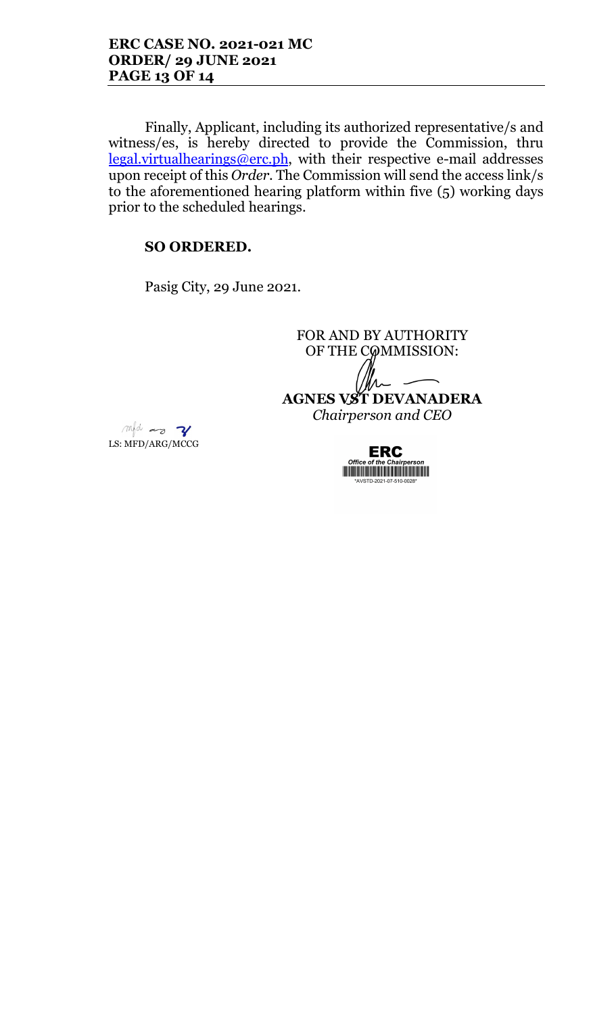Finally, Applicant, including its authorized representative/s and witness/es, is hereby directed to provide the Commission, thru legal.virtualhearings@erc.ph, with their respective e-mail addresses upon receipt of this Order. The Commission will send the access link/s to the aforementioned hearing platform within five (5) working days prior to the scheduled hearings.

# SO ORDERED.

Pasig City, 29 June 2021.

FOR AND BY AUTHORITY OF THE COMMISSION: AGNES VST DEVANADERA Chairperson and CEO

mfd as V LS: MFD/ARG/MCCG

**ERC THE REAL PROPERTY OF A SET OF A SET OF A SET OF A SET OF A SET OF A SET OF A SET OF A SET OF A SET OF A SET OF**